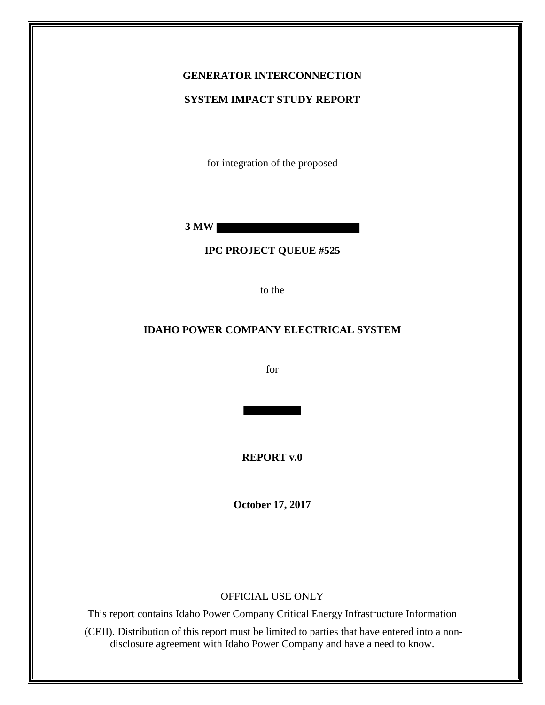### **GENERATOR INTERCONNECTION**

#### **SYSTEM IMPACT STUDY REPORT**

for integration of the proposed

**3 MW** 

#### **IPC PROJECT QUEUE #525**

to the

#### **IDAHO POWER COMPANY ELECTRICAL SYSTEM**

for

**REPORT v.0**

**October 17, 2017**

#### OFFICIAL USE ONLY

This report contains Idaho Power Company Critical Energy Infrastructure Information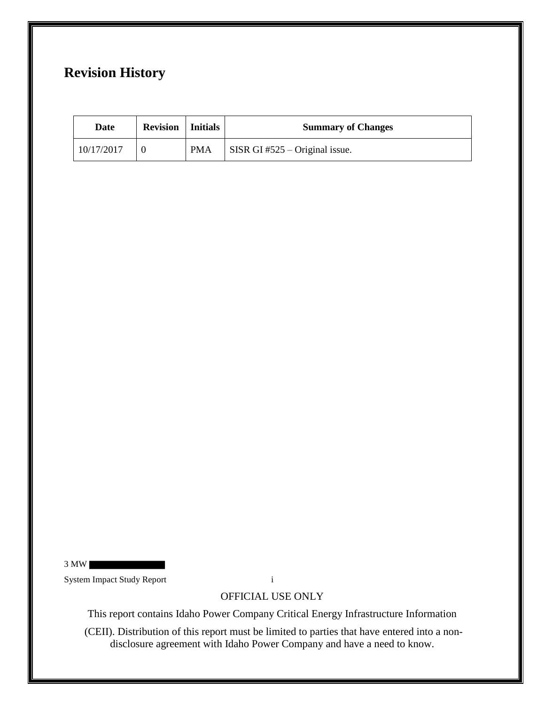# **Revision History**

| Date       | <b>Revision</b>   Initials |            | <b>Summary of Changes</b>              |
|------------|----------------------------|------------|----------------------------------------|
| 10/17/2017 |                            | <b>PMA</b> | $\vert$ SISR GI #525 – Original issue. |

3 MW

System Impact Study Report i

OFFICIAL USE ONLY

This report contains Idaho Power Company Critical Energy Infrastructure Information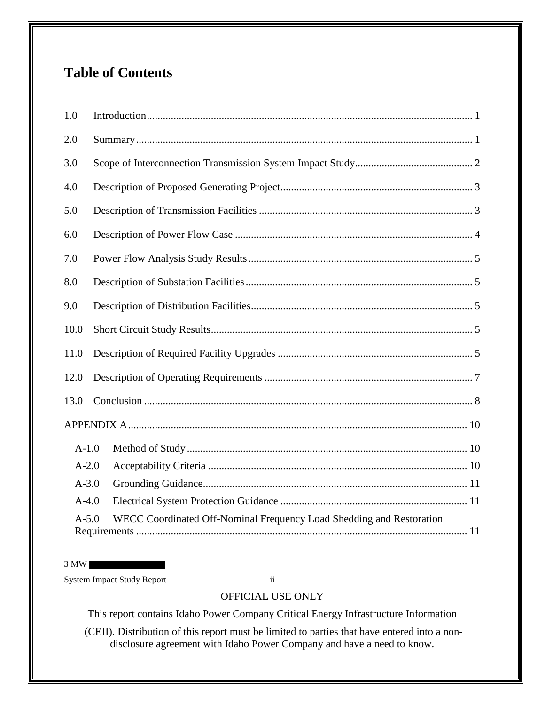# **Table of Contents**

| 1.0     |                                                                      |
|---------|----------------------------------------------------------------------|
| 2.0     |                                                                      |
| 3.0     |                                                                      |
| 4.0     |                                                                      |
| 5.0     |                                                                      |
| 6.0     |                                                                      |
| 7.0     |                                                                      |
| 8.0     |                                                                      |
| 9.0     |                                                                      |
| 10.0    |                                                                      |
| 11.0    |                                                                      |
| 12.0    |                                                                      |
| 13.0    |                                                                      |
|         |                                                                      |
| $A-1.0$ |                                                                      |
| $A-2.0$ |                                                                      |
| $A-3.0$ |                                                                      |
| $A-4.0$ |                                                                      |
| $A-5.0$ | WECC Coordinated Off-Nominal Frequency Load Shedding and Restoration |

3 MW

System Impact Study Report ii

## OFFICIAL USE ONLY

This report contains Idaho Power Company Critical Energy Infrastructure Information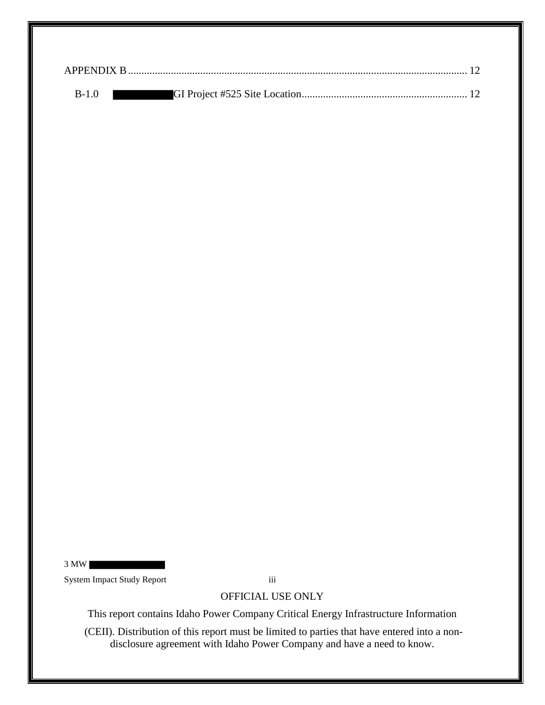| $B-1.0$ |  |
|---------|--|

3 MW

System Impact Study Report iii

OFFICIAL USE ONLY

This report contains Idaho Power Company Critical Energy Infrastructure Information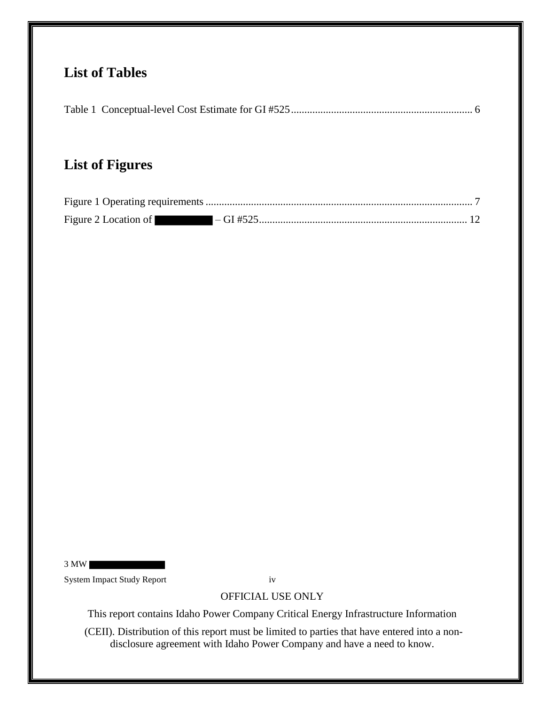# **List of Tables**

|--|--|--|--|--|--|

# **List of Figures**

| Figure 2 Location of |  |
|----------------------|--|

3 MW System Impact Study Report iv

# OFFICIAL USE ONLY

This report contains Idaho Power Company Critical Energy Infrastructure Information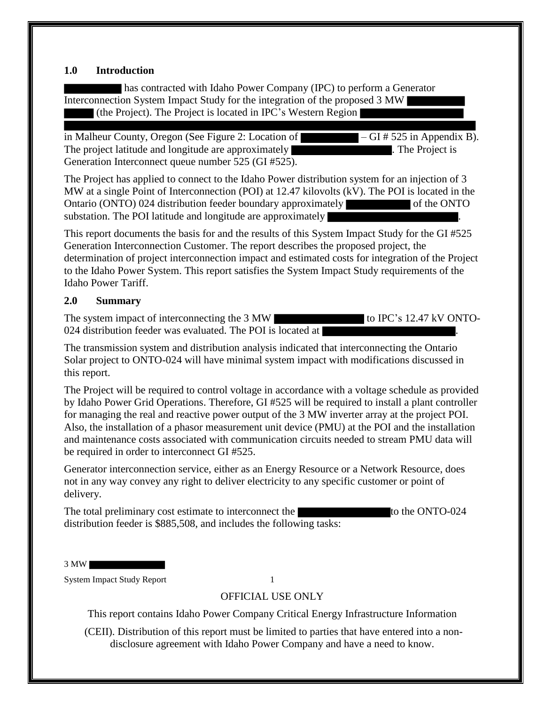#### **1.0 Introduction**

has contracted with Idaho Power Company (IPC) to perform a Generator Interconnection System Impact Study for the integration of the proposed 3 MW (the Project). The Project is located in IPC's Western Region

in Malheur County, Oregon (See Figure 2: Location of – GI # 525 in Appendix B). The project latitude and longitude are approximately **The Project is** . The Project is Generation Interconnect queue number 525 (GI #525).

The Project has applied to connect to the Idaho Power distribution system for an injection of 3 MW at a single Point of Interconnection (POI) at 12.47 kilovolts (kV). The POI is located in the Ontario (ONTO) 024 distribution feeder boundary approximately of the ONTO substation. The POI latitude and longitude are approximately

This report documents the basis for and the results of this System Impact Study for the GI #525 Generation Interconnection Customer. The report describes the proposed project, the determination of project interconnection impact and estimated costs for integration of the Project to the Idaho Power System. This report satisfies the System Impact Study requirements of the Idaho Power Tariff.

#### **2.0 Summary**

The system impact of interconnecting the 3 MW 024 distribution feeder was evaluated. The POI is located at  $\vert$ 

The transmission system and distribution analysis indicated that interconnecting the Ontario Solar project to ONTO-024 will have minimal system impact with modifications discussed in this report.

The Project will be required to control voltage in accordance with a voltage schedule as provided by Idaho Power Grid Operations. Therefore, GI #525 will be required to install a plant controller for managing the real and reactive power output of the 3 MW inverter array at the project POI. Also, the installation of a phasor measurement unit device (PMU) at the POI and the installation and maintenance costs associated with communication circuits needed to stream PMU data will be required in order to interconnect GI #525.

Generator interconnection service, either as an Energy Resource or a Network Resource, does not in any way convey any right to deliver electricity to any specific customer or point of delivery.

The total preliminary cost estimate to interconnect the to the ONTO-024 distribution feeder is \$885,508, and includes the following tasks:

3 MW

System Impact Study Report 1

## OFFICIAL USE ONLY

This report contains Idaho Power Company Critical Energy Infrastructure Information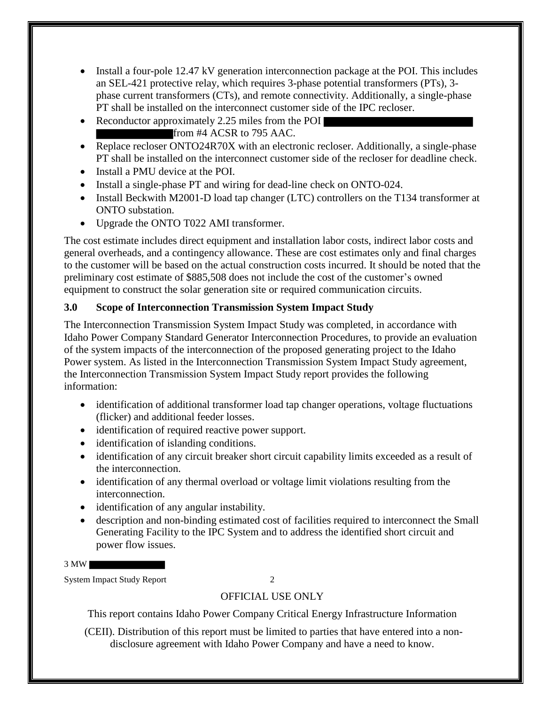- Install a four-pole 12.47 kV generation interconnection package at the POI. This includes an SEL-421 protective relay, which requires 3-phase potential transformers (PTs), 3 phase current transformers (CTs), and remote connectivity. Additionally, a single-phase PT shall be installed on the interconnect customer side of the IPC recloser.
- Reconductor approximately 2.25 miles from the POI from #4 ACSR to 795 AAC.
- Replace recloser ONTO24R70X with an electronic recloser. Additionally, a single-phase PT shall be installed on the interconnect customer side of the recloser for deadline check.
- Install a PMU device at the POI.
- Install a single-phase PT and wiring for dead-line check on ONTO-024.
- Install Beckwith M2001-D load tap changer (LTC) controllers on the T134 transformer at ONTO substation.
- Upgrade the ONTO T022 AMI transformer.

The cost estimate includes direct equipment and installation labor costs, indirect labor costs and general overheads, and a contingency allowance. These are cost estimates only and final charges to the customer will be based on the actual construction costs incurred. It should be noted that the preliminary cost estimate of \$885,508 does not include the cost of the customer's owned equipment to construct the solar generation site or required communication circuits.

## **3.0 Scope of Interconnection Transmission System Impact Study**

The Interconnection Transmission System Impact Study was completed, in accordance with Idaho Power Company Standard Generator Interconnection Procedures, to provide an evaluation of the system impacts of the interconnection of the proposed generating project to the Idaho Power system. As listed in the Interconnection Transmission System Impact Study agreement, the Interconnection Transmission System Impact Study report provides the following information:

- identification of additional transformer load tap changer operations, voltage fluctuations (flicker) and additional feeder losses.
- identification of required reactive power support.
- identification of islanding conditions.
- identification of any circuit breaker short circuit capability limits exceeded as a result of the interconnection.
- identification of any thermal overload or voltage limit violations resulting from the interconnection.
- identification of any angular instability.
- description and non-binding estimated cost of facilities required to interconnect the Small Generating Facility to the IPC System and to address the identified short circuit and power flow issues.

3 MW

System Impact Study Report 2

# OFFICIAL USE ONLY

This report contains Idaho Power Company Critical Energy Infrastructure Information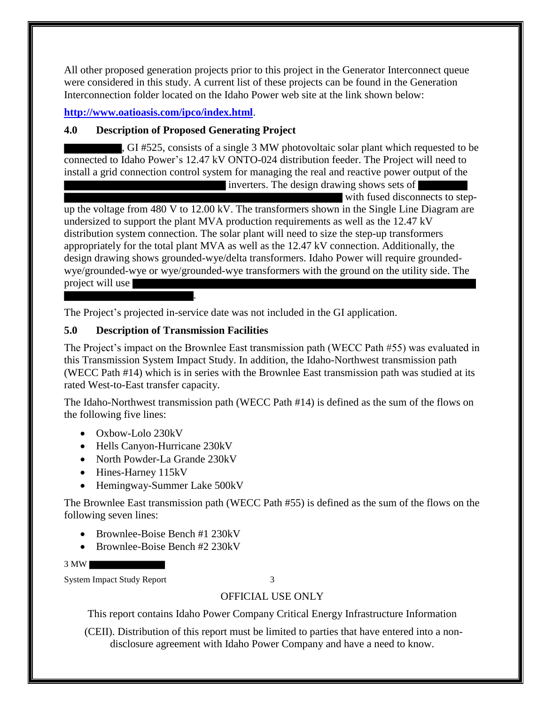All other proposed generation projects prior to this project in the Generator Interconnect queue were considered in this study. A current list of these projects can be found in the Generation Interconnection folder located on the Idaho Power web site at the link shown below:

**http://www.oatioasis.com/ipco/index.html**.

## **4.0 Description of Proposed Generating Project**

, GI #525, consists of a single 3 MW photovoltaic solar plant which requested to be connected to Idaho Power's 12.47 kV ONTO-024 distribution feeder. The Project will need to install a grid connection control system for managing the real and reactive power output of the inverters. The design drawing shows sets of

with fused disconnects to stepup the voltage from 480 V to 12.00 kV. The transformers shown in the Single Line Diagram are undersized to support the plant MVA production requirements as well as the 12.47 kV distribution system connection. The solar plant will need to size the step-up transformers appropriately for the total plant MVA as well as the 12.47 kV connection. Additionally, the design drawing shows grounded-wye/delta transformers. Idaho Power will require groundedwye/grounded-wye or wye/grounded-wye transformers with the ground on the utility side. The project will use

The Project's projected in-service date was not included in the GI application.

## **5.0 Description of Transmission Facilities**

.

The Project's impact on the Brownlee East transmission path (WECC Path #55) was evaluated in this Transmission System Impact Study. In addition, the Idaho-Northwest transmission path (WECC Path #14) which is in series with the Brownlee East transmission path was studied at its rated West-to-East transfer capacity.

The Idaho-Northwest transmission path (WECC Path #14) is defined as the sum of the flows on the following five lines:

- Oxbow-Lolo 230kV
- Hells Canyon-Hurricane 230kV
- North Powder-La Grande 230kV
- Hines-Harney 115kV
- Hemingway-Summer Lake 500kV

The Brownlee East transmission path (WECC Path #55) is defined as the sum of the flows on the following seven lines:

- Brownlee-Boise Bench #1 230kV
- Brownlee-Boise Bench #2 230kV

3 MW

System Impact Study Report 3

# OFFICIAL USE ONLY

This report contains Idaho Power Company Critical Energy Infrastructure Information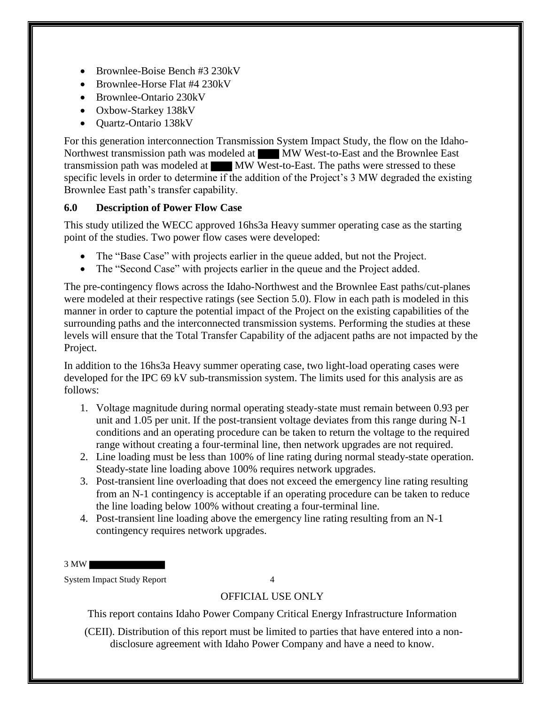- Brownlee-Boise Bench #3 230kV
- Brownlee-Horse Flat #4 230kV
- Brownlee-Ontario 230kV
- Oxbow-Starkey 138kV
- Quartz-Ontario 138kV

For this generation interconnection Transmission System Impact Study, the flow on the Idaho-Northwest transmission path was modeled at MW West-to-East and the Brownlee East transmission path was modeled at MW West-to-East. The paths were stressed to these specific levels in order to determine if the addition of the Project's 3 MW degraded the existing Brownlee East path's transfer capability.

### **6.0 Description of Power Flow Case**

This study utilized the WECC approved 16hs3a Heavy summer operating case as the starting point of the studies. Two power flow cases were developed:

- The "Base Case" with projects earlier in the queue added, but not the Project.
- The "Second Case" with projects earlier in the queue and the Project added.

The pre-contingency flows across the Idaho-Northwest and the Brownlee East paths/cut-planes were modeled at their respective ratings (see Section 5.0). Flow in each path is modeled in this manner in order to capture the potential impact of the Project on the existing capabilities of the surrounding paths and the interconnected transmission systems. Performing the studies at these levels will ensure that the Total Transfer Capability of the adjacent paths are not impacted by the Project.

In addition to the 16hs3a Heavy summer operating case, two light-load operating cases were developed for the IPC 69 kV sub-transmission system. The limits used for this analysis are as follows:

- 1. Voltage magnitude during normal operating steady-state must remain between 0.93 per unit and 1.05 per unit. If the post-transient voltage deviates from this range during N-1 conditions and an operating procedure can be taken to return the voltage to the required range without creating a four-terminal line, then network upgrades are not required.
- 2. Line loading must be less than 100% of line rating during normal steady-state operation. Steady-state line loading above 100% requires network upgrades.
- 3. Post-transient line overloading that does not exceed the emergency line rating resulting from an N-1 contingency is acceptable if an operating procedure can be taken to reduce the line loading below 100% without creating a four-terminal line.
- 4. Post-transient line loading above the emergency line rating resulting from an N-1 contingency requires network upgrades.

3 MW

System Impact Study Report 4

## OFFICIAL USE ONLY

This report contains Idaho Power Company Critical Energy Infrastructure Information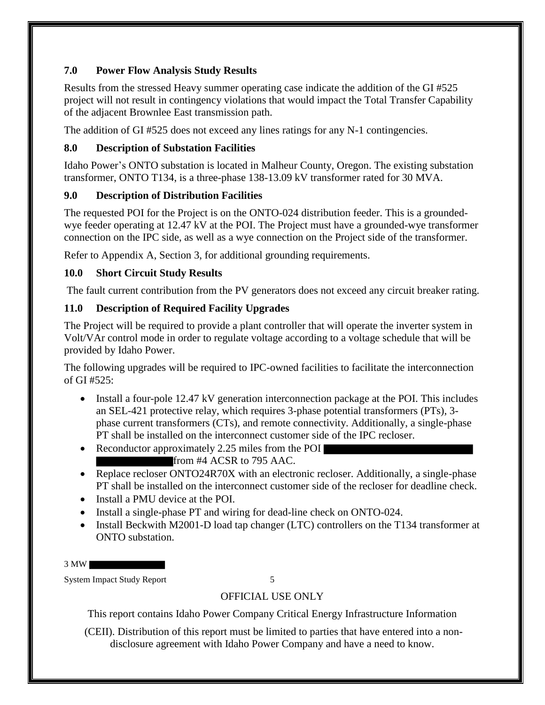### **7.0 Power Flow Analysis Study Results**

Results from the stressed Heavy summer operating case indicate the addition of the GI #525 project will not result in contingency violations that would impact the Total Transfer Capability of the adjacent Brownlee East transmission path.

The addition of GI #525 does not exceed any lines ratings for any N-1 contingencies.

### **8.0 Description of Substation Facilities**

Idaho Power's ONTO substation is located in Malheur County, Oregon. The existing substation transformer, ONTO T134, is a three-phase 138-13.09 kV transformer rated for 30 MVA.

## **9.0 Description of Distribution Facilities**

The requested POI for the Project is on the ONTO-024 distribution feeder. This is a groundedwye feeder operating at 12.47 kV at the POI. The Project must have a grounded-wye transformer connection on the IPC side, as well as a wye connection on the Project side of the transformer.

Refer to Appendix A, Section 3, for additional grounding requirements.

## **10.0 Short Circuit Study Results**

The fault current contribution from the PV generators does not exceed any circuit breaker rating.

## **11.0 Description of Required Facility Upgrades**

The Project will be required to provide a plant controller that will operate the inverter system in Volt/VAr control mode in order to regulate voltage according to a voltage schedule that will be provided by Idaho Power.

The following upgrades will be required to IPC-owned facilities to facilitate the interconnection of GI #525:

- Install a four-pole 12.47 kV generation interconnection package at the POI. This includes an SEL-421 protective relay, which requires 3-phase potential transformers (PTs), 3 phase current transformers (CTs), and remote connectivity. Additionally, a single-phase PT shall be installed on the interconnect customer side of the IPC recloser.
- Reconductor approximately 2.25 miles from the POI from #4 ACSR to 795 AAC.
- Replace recloser ONTO24R70X with an electronic recloser. Additionally, a single-phase PT shall be installed on the interconnect customer side of the recloser for deadline check.
- Install a PMU device at the POI.
- Install a single-phase PT and wiring for dead-line check on ONTO-024.
- Install Beckwith M2001-D load tap changer (LTC) controllers on the T134 transformer at ONTO substation.

3 MW

System Impact Study Report 5

# OFFICIAL USE ONLY

This report contains Idaho Power Company Critical Energy Infrastructure Information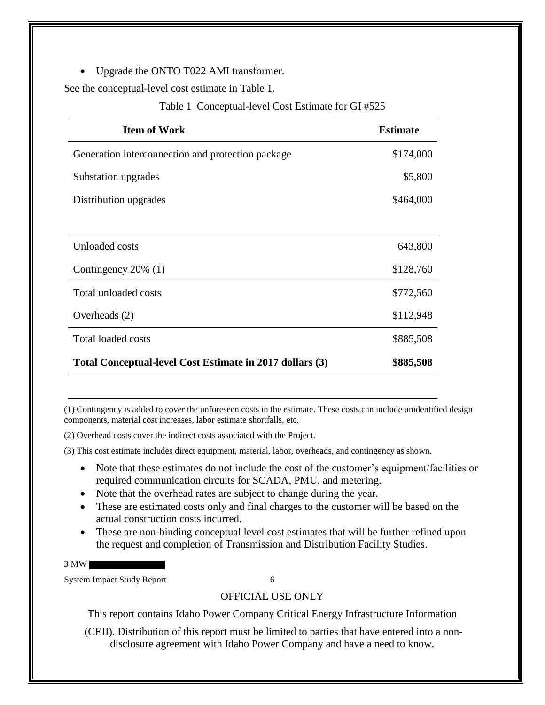• Upgrade the ONTO T022 AMI transformer.

See the conceptual-level cost estimate in Table 1.

#### Table 1 Conceptual-level Cost Estimate for GI #525

| <b>Item of Work</b>                                      | <b>Estimate</b> |
|----------------------------------------------------------|-----------------|
| Generation interconnection and protection package        | \$174,000       |
| Substation upgrades                                      | \$5,800         |
| Distribution upgrades                                    | \$464,000       |
|                                                          |                 |
| Unloaded costs                                           | 643,800         |
| Contingency 20% (1)                                      | \$128,760       |
| Total unloaded costs                                     | \$772,560       |
| Overheads (2)                                            | \$112,948       |
| <b>Total loaded costs</b>                                | \$885,508       |
| Total Conceptual-level Cost Estimate in 2017 dollars (3) | \$885,508       |

(1) Contingency is added to cover the unforeseen costs in the estimate. These costs can include unidentified design components, material cost increases, labor estimate shortfalls, etc.

(2) Overhead costs cover the indirect costs associated with the Project.

(3) This cost estimate includes direct equipment, material, labor, overheads, and contingency as shown.

- Note that these estimates do not include the cost of the customer's equipment/facilities or required communication circuits for SCADA, PMU, and metering.
- Note that the overhead rates are subject to change during the year.
- These are estimated costs only and final charges to the customer will be based on the actual construction costs incurred.
- These are non-binding conceptual level cost estimates that will be further refined upon the request and completion of Transmission and Distribution Facility Studies.

3 MW

System Impact Study Report 6

## OFFICIAL USE ONLY

This report contains Idaho Power Company Critical Energy Infrastructure Information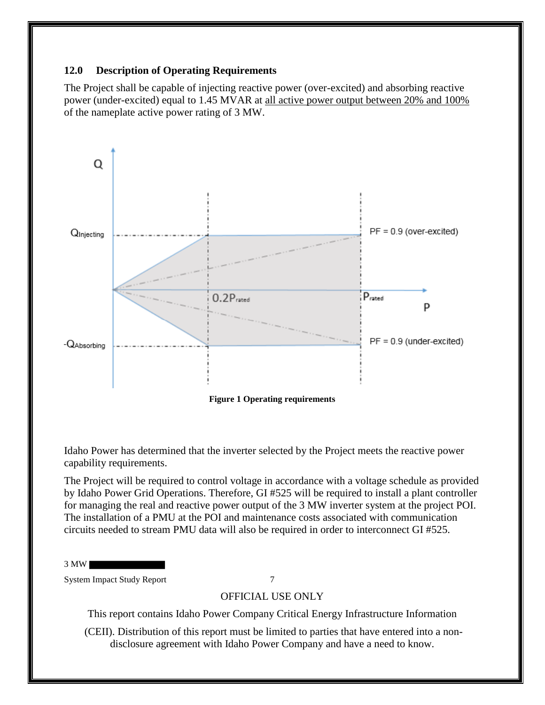#### **12.0 Description of Operating Requirements**

The Project shall be capable of injecting reactive power (over-excited) and absorbing reactive power (under-excited) equal to 1.45 MVAR at all active power output between 20% and 100% of the nameplate active power rating of 3 MW.



**Figure 1 Operating requirements**

Idaho Power has determined that the inverter selected by the Project meets the reactive power capability requirements.

The Project will be required to control voltage in accordance with a voltage schedule as provided by Idaho Power Grid Operations. Therefore, GI #525 will be required to install a plant controller for managing the real and reactive power output of the 3 MW inverter system at the project POI. The installation of a PMU at the POI and maintenance costs associated with communication circuits needed to stream PMU data will also be required in order to interconnect GI #525.

3 MW

System Impact Study Report 7

## OFFICIAL USE ONLY

This report contains Idaho Power Company Critical Energy Infrastructure Information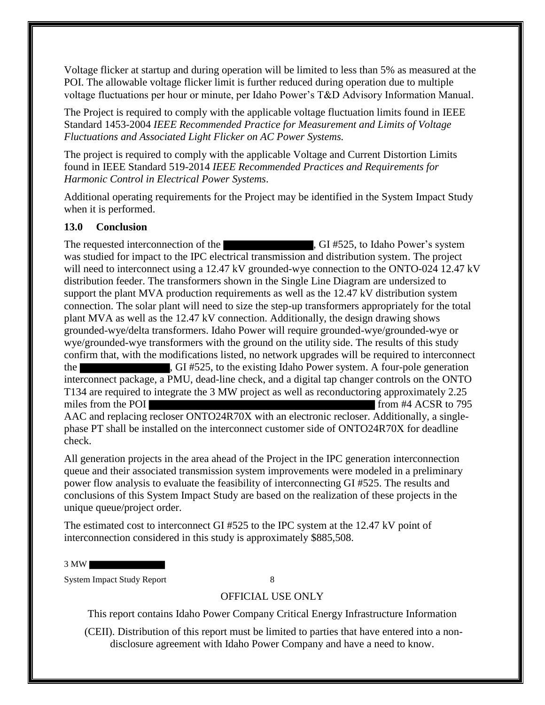Voltage flicker at startup and during operation will be limited to less than 5% as measured at the POI. The allowable voltage flicker limit is further reduced during operation due to multiple voltage fluctuations per hour or minute, per Idaho Power's T&D Advisory Information Manual.

The Project is required to comply with the applicable voltage fluctuation limits found in IEEE Standard 1453-2004 *IEEE Recommended Practice for Measurement and Limits of Voltage Fluctuations and Associated Light Flicker on AC Power Systems.* 

The project is required to comply with the applicable Voltage and Current Distortion Limits found in IEEE Standard 519-2014 *IEEE Recommended Practices and Requirements for Harmonic Control in Electrical Power Systems*.

Additional operating requirements for the Project may be identified in the System Impact Study when it is performed.

#### **13.0 Conclusion**

The requested interconnection of the , GI #525, to Idaho Power's system was studied for impact to the IPC electrical transmission and distribution system. The project will need to interconnect using a 12.47 kV grounded-wye connection to the ONTO-024 12.47 kV distribution feeder. The transformers shown in the Single Line Diagram are undersized to support the plant MVA production requirements as well as the 12.47 kV distribution system connection. The solar plant will need to size the step-up transformers appropriately for the total plant MVA as well as the 12.47 kV connection. Additionally, the design drawing shows grounded-wye/delta transformers. Idaho Power will require grounded-wye/grounded-wye or wye/grounded-wye transformers with the ground on the utility side. The results of this study confirm that, with the modifications listed, no network upgrades will be required to interconnect the  $\overline{G}$ , GI #525, to the existing Idaho Power system. A four-pole generation interconnect package, a PMU, dead-line check, and a digital tap changer controls on the ONTO T134 are required to integrate the 3 MW project as well as reconductoring approximately 2.25 miles from the POI from #4 ACSR to 795 AAC and replacing recloser ONTO24R70X with an electronic recloser. Additionally, a singlephase PT shall be installed on the interconnect customer side of ONTO24R70X for deadline check.

All generation projects in the area ahead of the Project in the IPC generation interconnection queue and their associated transmission system improvements were modeled in a preliminary power flow analysis to evaluate the feasibility of interconnecting GI #525. The results and conclusions of this System Impact Study are based on the realization of these projects in the unique queue/project order.

The estimated cost to interconnect GI #525 to the IPC system at the 12.47 kV point of interconnection considered in this study is approximately \$885,508.

3 MW

System Impact Study Report 8

## OFFICIAL USE ONLY

This report contains Idaho Power Company Critical Energy Infrastructure Information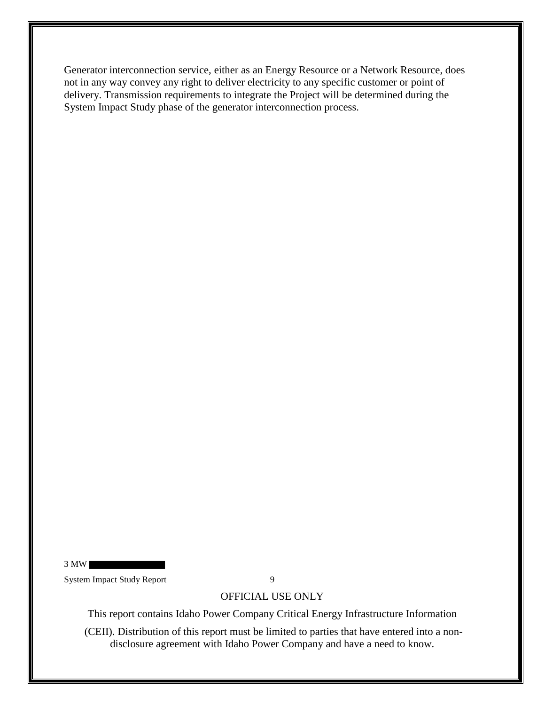Generator interconnection service, either as an Energy Resource or a Network Resource, does not in any way convey any right to deliver electricity to any specific customer or point of delivery. Transmission requirements to integrate the Project will be determined during the System Impact Study phase of the generator interconnection process.

3 MW System Impact Study Report 9

OFFICIAL USE ONLY

This report contains Idaho Power Company Critical Energy Infrastructure Information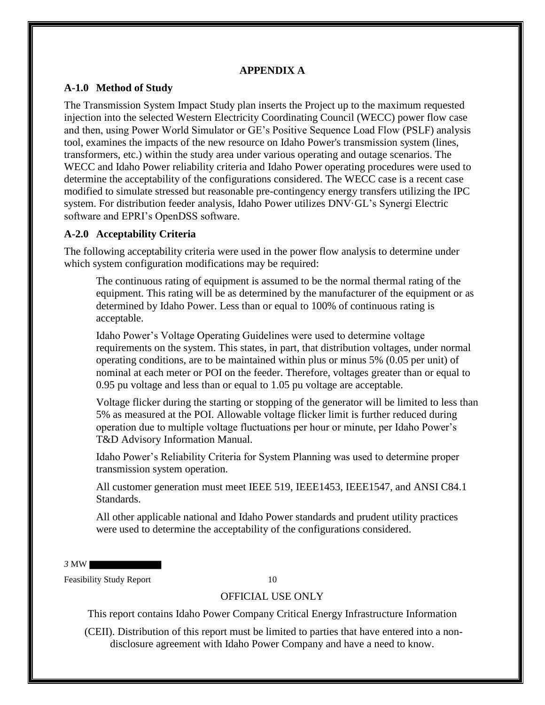#### **APPENDIX A**

#### **A-1.0 Method of Study**

The Transmission System Impact Study plan inserts the Project up to the maximum requested injection into the selected Western Electricity Coordinating Council (WECC) power flow case and then, using Power World Simulator or GE's Positive Sequence Load Flow (PSLF) analysis tool, examines the impacts of the new resource on Idaho Power's transmission system (lines, transformers, etc.) within the study area under various operating and outage scenarios. The WECC and Idaho Power reliability criteria and Idaho Power operating procedures were used to determine the acceptability of the configurations considered. The WECC case is a recent case modified to simulate stressed but reasonable pre-contingency energy transfers utilizing the IPC system. For distribution feeder analysis, Idaho Power utilizes DNV·GL's Synergi Electric software and EPRI's OpenDSS software.

#### **A-2.0 Acceptability Criteria**

The following acceptability criteria were used in the power flow analysis to determine under which system configuration modifications may be required:

The continuous rating of equipment is assumed to be the normal thermal rating of the equipment. This rating will be as determined by the manufacturer of the equipment or as determined by Idaho Power. Less than or equal to 100% of continuous rating is acceptable.

Idaho Power's Voltage Operating Guidelines were used to determine voltage requirements on the system. This states, in part, that distribution voltages, under normal operating conditions, are to be maintained within plus or minus 5% (0.05 per unit) of nominal at each meter or POI on the feeder. Therefore, voltages greater than or equal to 0.95 pu voltage and less than or equal to 1.05 pu voltage are acceptable.

Voltage flicker during the starting or stopping of the generator will be limited to less than 5% as measured at the POI. Allowable voltage flicker limit is further reduced during operation due to multiple voltage fluctuations per hour or minute, per Idaho Power's T&D Advisory Information Manual.

Idaho Power's Reliability Criteria for System Planning was used to determine proper transmission system operation.

All customer generation must meet IEEE 519, IEEE1453, IEEE1547, and ANSI C84.1 Standards.

All other applicable national and Idaho Power standards and prudent utility practices were used to determine the acceptability of the configurations considered.

*3* MW

Feasibility Study Report 10

#### OFFICIAL USE ONLY

This report contains Idaho Power Company Critical Energy Infrastructure Information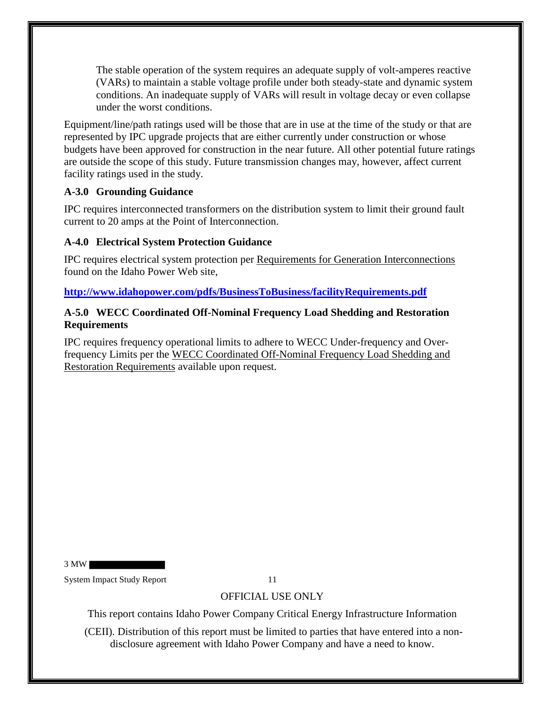The stable operation of the system requires an adequate supply of volt-amperes reactive (VARs) to maintain a stable voltage profile under both steady-state and dynamic system conditions. An inadequate supply of VARs will result in voltage decay or even collapse under the worst conditions.

Equipment/line/path ratings used will be those that are in use at the time of the study or that are represented by IPC upgrade projects that are either currently under construction or whose budgets have been approved for construction in the near future. All other potential future ratings are outside the scope of this study. Future transmission changes may, however, affect current facility ratings used in the study.

### **A-3.0 Grounding Guidance**

IPC requires interconnected transformers on the distribution system to limit their ground fault current to 20 amps at the Point of Interconnection.

### **A-4.0 Electrical System Protection Guidance**

IPC requires electrical system protection per Requirements for Generation Interconnections found on the Idaho Power Web site,

**http://www.idahopower.com/pdfs/BusinessToBusiness/facilityRequirements.pdf**

#### **A-5.0 WECC Coordinated Off-Nominal Frequency Load Shedding and Restoration Requirements**

IPC requires frequency operational limits to adhere to WECC Under-frequency and Overfrequency Limits per the WECC Coordinated Off-Nominal Frequency Load Shedding and Restoration Requirements available upon request.

3 MW

System Impact Study Report 11

# OFFICIAL USE ONLY

This report contains Idaho Power Company Critical Energy Infrastructure Information